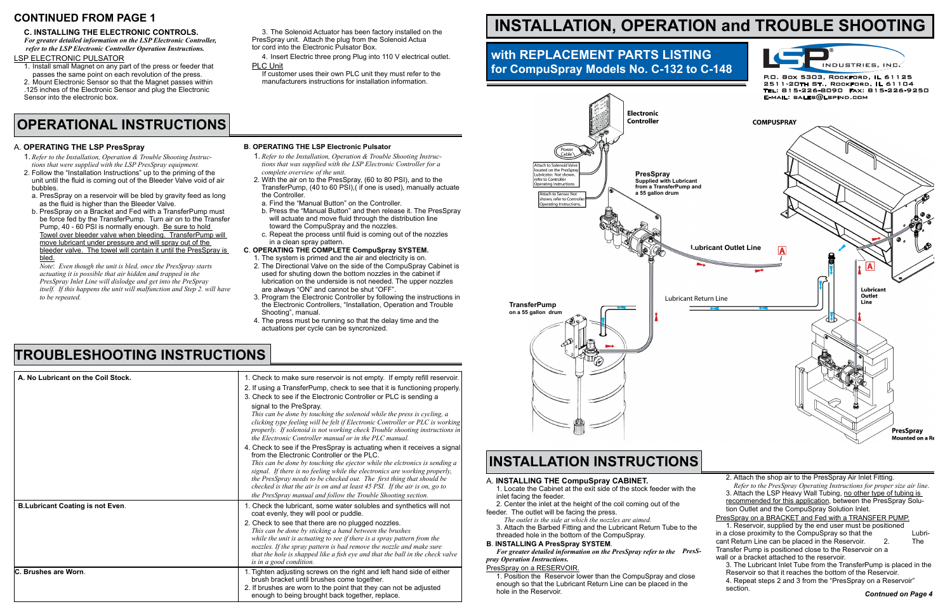### **C. INSTALLING THE ELECTRONIC CONTROLS.**

*For greater detailed information on the LSP Electronic Controller, refer to the LSP Electronic Controller Operation Instructions.*

### LSP Electronic Pulsator

- 1. Install small Magnet on any part of the press or feeder that passes the same point on each revolution of the press.
- 2. Mount Electronic Sensor so that the Magnet passes within .125 inches of the Electronic Sensor and plug the Electronic Sensor into the electronic box.

3. The Solenoid Actuator has been factory installed on the PresSpray unit. Attach the plug from the Solenoid Actua tor cord into the Electronic Pulsator Box.

4. Insert Electric three prong Plug into 110 V electrical outlet. PLC Unit

 If customer uses their own PLC unit they must refer to the manufacturers instructions for installation information.

# CONTINUED FROM PAGE 1<br>C. INSTALLATION, OPERATION and TROUBLE SHOOTING

## **OPERATIONAL INSTRUCTIONS**

### A. **OPERATING THE LSP PresSpray**

- 1. *Refer to the Installation, Operation & Trouble Shooting Instruc tions that were supplied with the LSP PresSpray equipment.*
- 2. Follow the "Installation Instructions" up to the priming of the unit until the fluid is coming out of the Bleeder Valve void of air bubbles.
- a. PresSpray on a reservoir will be bled by gravity feed as long as the fluid is higher than the Bleeder Valve.
- b. PresSpray on a Bracket and Fed with a TransferPump must be force fed by the TransferPump. Turn air on to the Transfer Pump, 40 - 60 PSI is normally enough. Be sure to hold Towel over bleeder valve when bleeding. TransferPump will move lubricant under pressure and will spray out of the bleeder valve. The towel will contain it until the PresSpray is bled.

 *Note*: *Even though the unit is bled, once the PresSpray starts actuating it is possible that air hidden and trapped in the PresSpray Inlet Line will dislodge and get into the PreSpray itself.* If this happens the unit will malfunction and Step 2. will have  *to be repeated.*

#### **B**. **OPERATING THE LSP Electronic Pulsator**

- 1. *Refer to the Installation, Operation & Trouble Shooting Instruc tions that was supplied with the LSP Electronic Controller for a complete overview of the unit.*
- 2. With the air on to the PresSpray, (60 to 80 PSI), and to the TransferPump, (40 to 60 PSI),( if one is used), manually actuate the Controller.
- a. Find the "Manual Button" on the Controller.
- b. Press the "Manual Button" and then release it. The PresSpray will actuate and move fluid through the distribution line toward the CompuSpray and the nozzles.
- c. Repeat the process until fluid is coming out of the nozzles in a clean spray pattern.

### **C**. **OPERATING THE COMPLETE CompuSpray SYSTEM.**

- 1. The system is primed and the air and electricity is on.
- 2. The Directional Valve on the side of the CompuSpray Cabinet is used for shuting down the bottom nozzles in the cabinet if lubrication on the underside is not needed. The upper nozzles are always "ON" and cannot be shut "OFF".
- 3. Program the Electronic Controller by following the instructions in the Electronic Controllers, "Installation, Operation and Trouble Shooting", manual.
- 4. The press must be running so that the delay time and the actuations per cycle can be syncronized.





### **TROUBLESHOOTING INSTRUCTIONS**

| A. No Lubricant on the Coil Stock.      | 1. Check to make sure reservoir is not empty. If empty refill reservoir.                                                                                                                                                                                                                                                                                                     |
|-----------------------------------------|------------------------------------------------------------------------------------------------------------------------------------------------------------------------------------------------------------------------------------------------------------------------------------------------------------------------------------------------------------------------------|
|                                         | 2. If using a TransferPump, check to see that it is functioning properly.                                                                                                                                                                                                                                                                                                    |
|                                         | 3. Check to see if the Electronic Controller or PLC is sending a                                                                                                                                                                                                                                                                                                             |
|                                         | signal to the PreSpray.                                                                                                                                                                                                                                                                                                                                                      |
|                                         | This can be done by touching the solenoid while the press is cycling, a<br>clicking type feeling will be felt if Electronic Controller or PLC is working<br>properly. If solenoid is not working check Trouble shooting instructions in                                                                                                                                      |
|                                         | the Electronic Controller manual or in the PLC manual.                                                                                                                                                                                                                                                                                                                       |
|                                         | 4. Check to see if the PresSpray is actuating when it receives a signal<br>from the Electronic Controller or the PLC.<br>This can be done by touching the ejector while the elctronics is sending a                                                                                                                                                                          |
|                                         | signal. If there is no feeling while the electronics are working properly,<br>the PresSpray needs to be checked out. The first thing that should be<br>checked is that the air is on and at least 45 PSI. If the air is on, go to<br>the PresSpray manual and follow the Trouble Shooting section.                                                                           |
| <b>B.Lubricant Coating is not Even.</b> | 1. Check the lubricant, some water solubles and synthetics will not<br>coat evenly, they will pool or puddle.                                                                                                                                                                                                                                                                |
|                                         | 2. Check to see that there are no plugged nozzles.<br>This can be done by sticking a hand between the brushes<br>while the unit is actuating to see if there is a spray pattern from the<br>nozzles. If the spray pattern is bad remove the nozzle and make sure<br>that the hole is shapped like a fish eye and that the ball in the check valve<br>is in a good condition. |
| C. Brushes are Worn.                    | 1. Tighten adjusting screws on the right and left hand side of either<br>brush bracket until brushes come together.<br>2. If brushes are worn to the point that they can not be adjusted<br>enough to being brought back together, replace.                                                                                                                                  |

### **with REPLACEMENT PARTS LISTING for CompuSpray Models No. C-132 to C-148**

### A. **INSTALLING THE CompuSpray CABINET.**

- 1. Locate the Cabinet at the exit side of the stock feeder with the inlet facing the feeder.
- 2. Center the inlet at the height of the coil coming out of the
- feeder. The outlet will be facing the press.

 *The outlet is the side at which the nozzles are aimed.* 3. Attach the Barbed Fitting and the Lubricant Return Tube to the threaded hole in the bottom of the CompuSpray.

#### **B**. **INSTALLING A PresSpray SYSTEM**.

*For greater detailed information on the PresSpray refer to the PresSpray Operation Instructions.*

#### PresSpray on a RESERVOIR.

1. Position the Reservoir lower than the CompuSpray and close enough so that the Lubricant Return Line can be placed in the hole in the Reservoir.

### **INSTALLATION INSTRUCTIONS**

| 2. Attach the shop air to the PresSpray Air Inlet Fitting.              |                           |
|-------------------------------------------------------------------------|---------------------------|
| Refer to the PresSpray Operating Instructions for proper size air line. |                           |
| 3. Attach the LSP Heavy Wall Tubing, no other type of tubing is         |                           |
| recommended for this application, between the PresSpray Solu-           |                           |
| tion Outlet and the CompuSpray Solution Inlet.                          |                           |
| PresSpray on a BRACKET and Fed with a TRANSFER PUMP.                    |                           |
| 1. Reservoir, supplied by the end user must be positioned               |                           |
| in a close proximity to the CompuSpray so that the                      | Lubri-                    |
| cant Return Line can be placed in the Reservoir.<br>2                   | The                       |
| Transfer Pump is positioned close to the Reservoir on a                 |                           |
| wall or a bracket attached to the reservoir.                            |                           |
| 3. The Lubricant Inlet Tube from the TransferPump is placed in the      |                           |
| Reservoir so that it reaches the bottom of the Reservoir.               |                           |
| 4. Repeat steps 2 and 3 from the "PresSpray on a Reservoir"             |                           |
| section.                                                                |                           |
|                                                                         | <b>Contnued on Page 4</b> |



P.O. Box 5303, Rockford, IL 61125 2511-20th St., Rockford, IL 61104 Tel: 815-226-8090 Fax: 815-226-9250